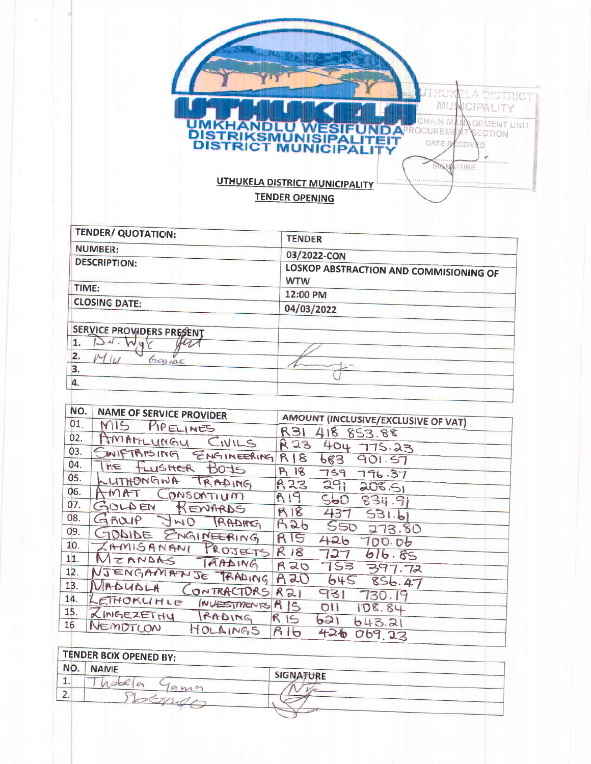

| <b>TENDER/ QUOTATION:</b> | <b>TENDER</b>                                        |
|---------------------------|------------------------------------------------------|
| <b>NUMBER:</b>            | 03/2022-CON                                          |
| <b>DESCRIPTION:</b>       | LOSKOP ABSTRACTION AND COMMISIONING OF<br><b>WTW</b> |
| TIME:                     | 12:00 PM                                             |
| <b>CLOSING DATE:</b>      | 04/03/2022                                           |
| SERVICE PROVIDERS PRESENT |                                                      |
| $\mathcal{M}$ .<br>2.     |                                                      |
| 600105<br>3.              |                                                      |
| 4.                        |                                                      |

| NO. | <b>NAME OF SERVICE PROVIDER</b> |                                     |
|-----|---------------------------------|-------------------------------------|
| 01. | MIS PIPELINES                   | AMOUNT (INCLUSIVE/EXCLUSIVE OF VAT) |
| 02. | AMAHLUMGY<br>CIVILS             | <b>R31</b><br>418 853.88            |
| 03. |                                 | R 23<br>404 775.23                  |
| 04. | SWIFTRISING ENGINEERING R18     | 683<br>901.57                       |
| 05. | THE FLUSHER BOYS                | R 18<br>759 796.37                  |
|     | LUTHONGWA TRADING               | R23<br>291<br>208.51                |
| 06. | AMAT CONSONTIUM                 | R19<br>500<br>834.91                |
| 07. | GULDEN KENARDS                  | R18<br>437<br>531.61                |
| 08. | GAULIP JWO TRADING              | A26<br>SSD                          |
| 09. | GODIDE ENGINEERING              | 273.80<br>R15                       |
| 10. | ZAMISANANI PROJECTS             | 426<br>700.06                       |
| 11. | MEANDAS TAADING                 | R18<br>727<br>616.85                |
| 12. |                                 | RZO<br>753 397.72                   |
| 13. | NJENGANANJE TRADING             | A20<br>645856.47                    |
|     | MADUDLA CONTRACTORS             | R <sub>21</sub><br>931<br>730.19    |
| 14. | LETHORLINLE INVESTMENTS A IS    | OII<br>108.84                       |
| 15. | ZINGEZETHY<br>RADING RIS        | 621<br>643.21                       |
| 16  | NEMOTLON<br>HOLAINGS            | R16<br>426<br>069.27                |

| NO.<br><b>NAME</b> |                 |                  |  |
|--------------------|-----------------|------------------|--|
|                    |                 | <b>SIGNATURE</b> |  |
|                    |                 |                  |  |
|                    | $9\,\mathrm{m}$ |                  |  |
|                    |                 |                  |  |